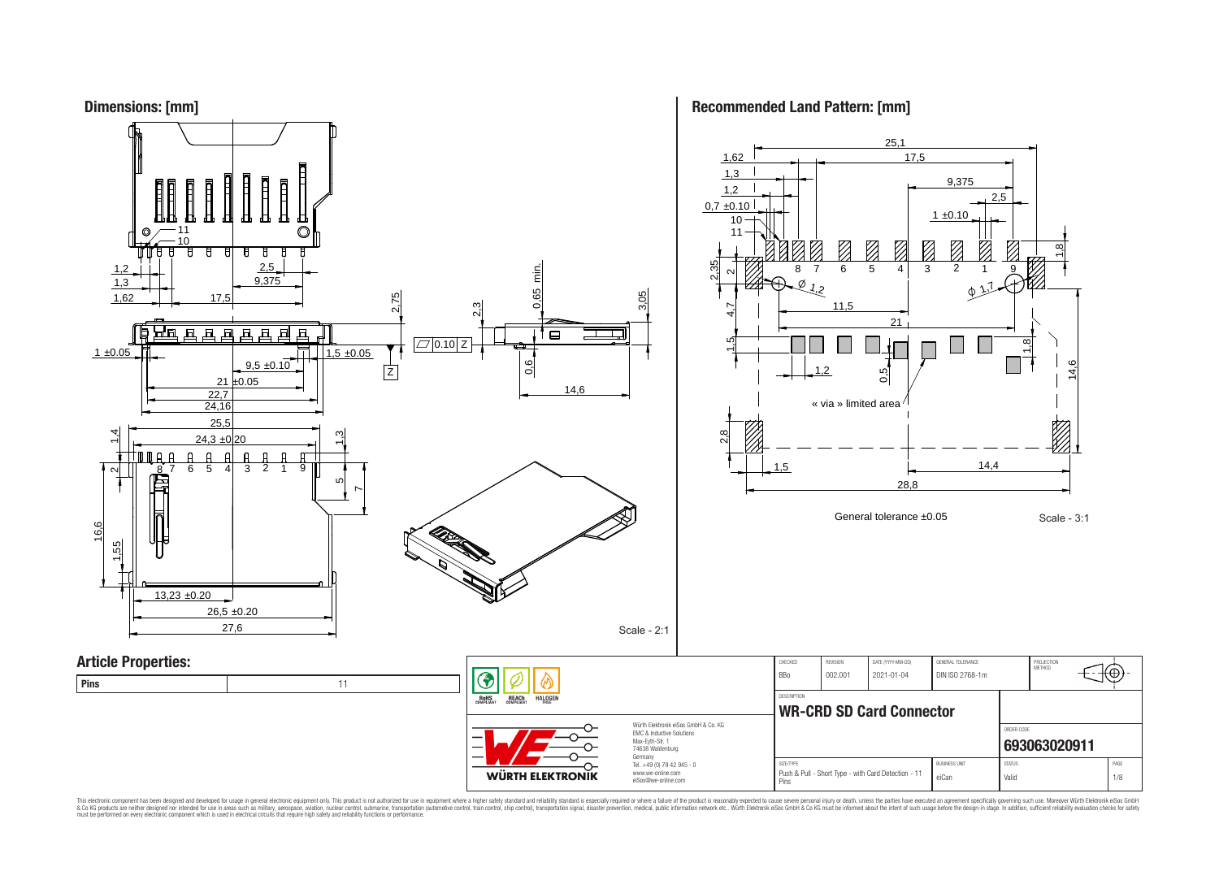



This electronic component has been designed and developed for usage in general electronic equipment only. This product is not authorized for subserved requipment where a higher selection equipment where a higher selection

**Recommended Land Pattern: [mm]**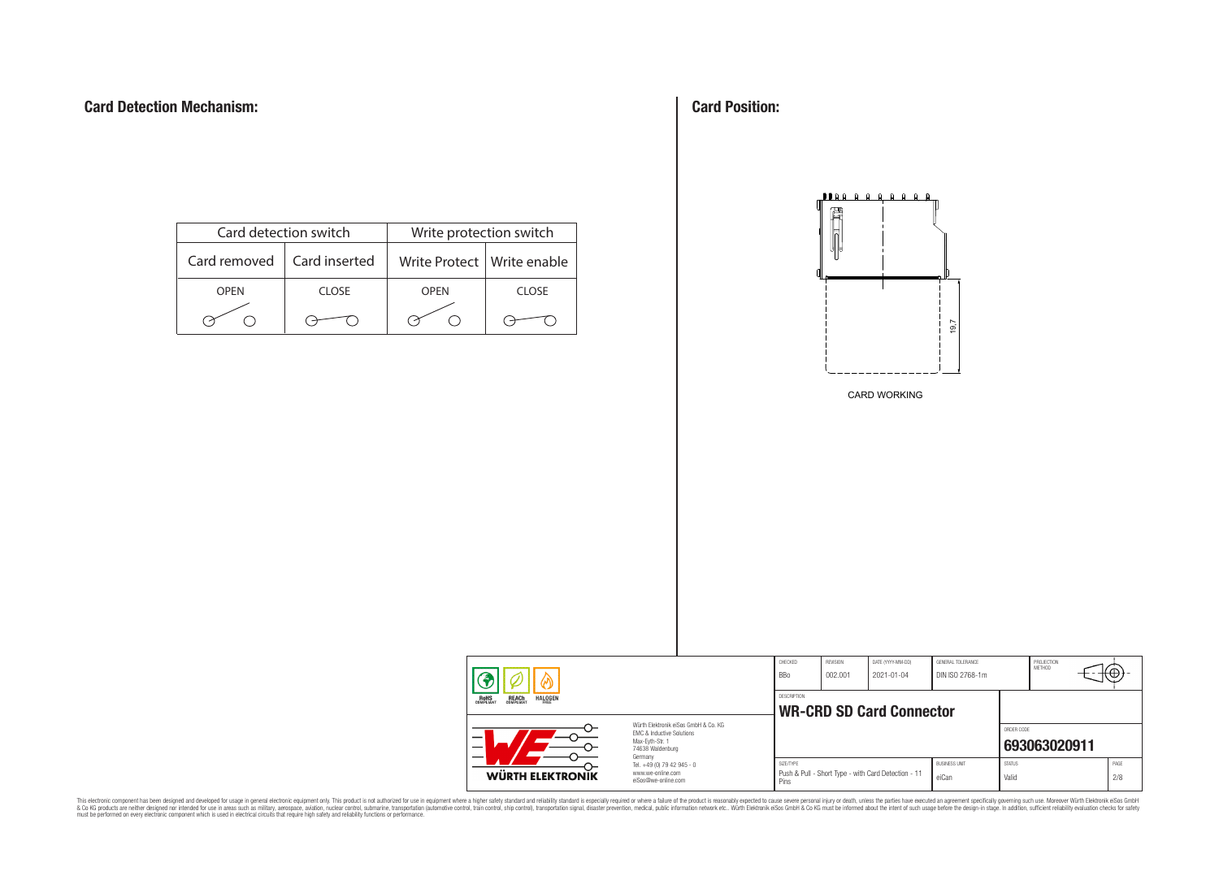| Card detection switch |               | Write protection switch      |       |  |  |  |
|-----------------------|---------------|------------------------------|-------|--|--|--|
| Card removed          | Card inserted | Write Protect   Write enable |       |  |  |  |
| <b>OPFN</b>           | CLOSE         | <b>OPFN</b>                  | CLOSE |  |  |  |
|                       |               |                              |       |  |  |  |

**Card Position:**



CARD WORKING

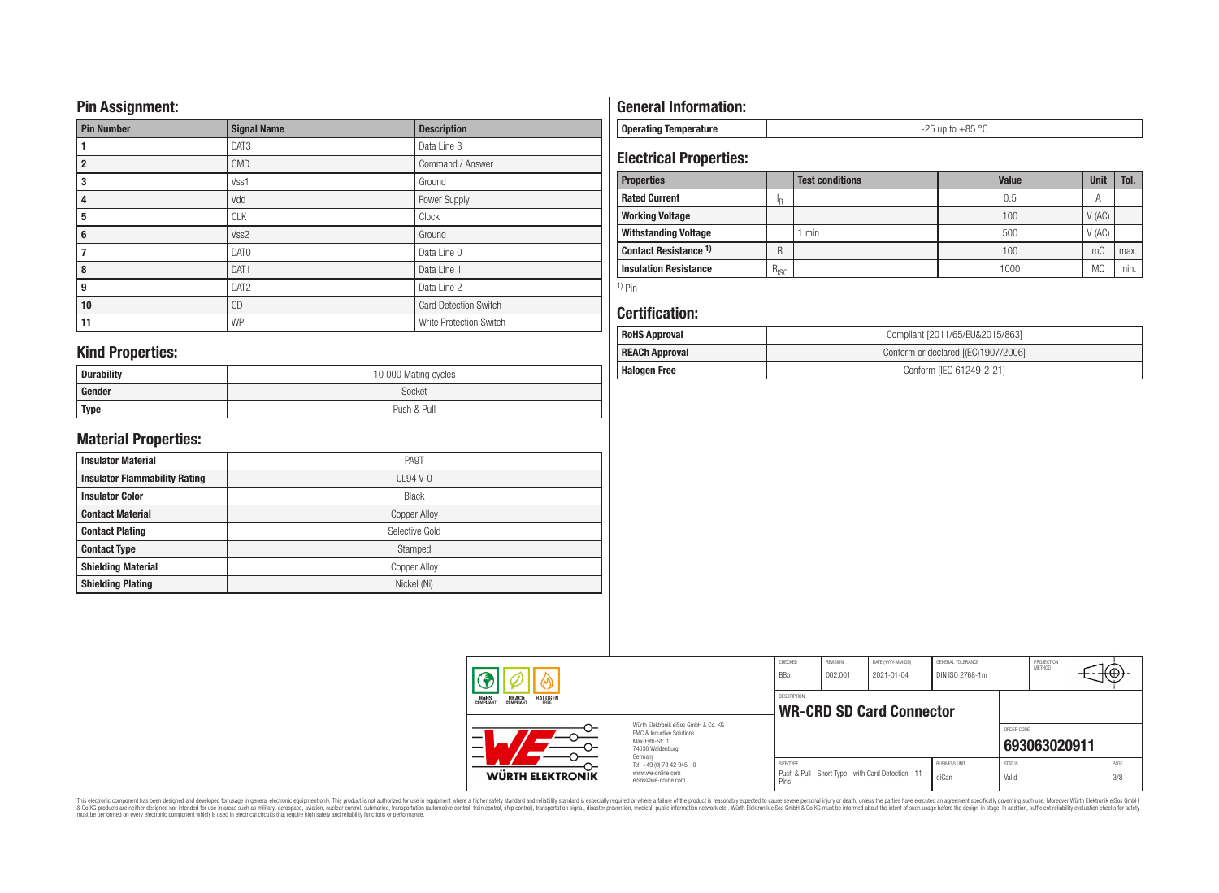## **Pin Assignment:**

| <b>Pin Number</b> | <b>Signal Name</b> | <b>Description</b>           |
|-------------------|--------------------|------------------------------|
|                   | DAT3               | Data Line 3                  |
| $\overline{2}$    | <b>CMD</b>         | Command / Answer             |
| 3                 | Vss1               | Ground                       |
| 4                 | Vdd                | Power Supply                 |
| 5                 | <b>CLK</b>         | Clock                        |
| 6                 | Vss2               | Ground                       |
| 7                 | DAT <sub>0</sub>   | Data Line 0                  |
| 8                 | DAT1               | Data Line 1                  |
| 9                 | DAT <sub>2</sub>   | Data Line 2                  |
| 10                | <b>CD</b>          | <b>Card Detection Switch</b> |
| 11                | WP                 | Write Protection Switch      |

# **General Information:**

**Operating Temperature** -25 up to +85 °C

# **Electrical Properties:**

| <b>Properties</b>            |           | <b>Test conditions</b> | Value | <b>Unit</b> | Tol. |
|------------------------------|-----------|------------------------|-------|-------------|------|
| <b>Rated Current</b>         | ΙR        |                        | 0.5   |             |      |
| <b>Working Voltage</b>       |           |                        | 100   | V(AC)       |      |
| <b>Withstanding Voltage</b>  |           | min                    | 500   | V(AC)       |      |
| Contact Resistance 1)        | R         |                        | 100   | $m\Omega$   | max. |
| <b>Insulation Resistance</b> | $R_{ISO}$ |                        | 1000  | <b>MC</b>   | min. |

1) Pin

## **Certification:**

| <b>RoHS Approval</b>                                         | Compliant [2011/65/EU&2015/863] |  |  |  |
|--------------------------------------------------------------|---------------------------------|--|--|--|
| <b>REACh Approval</b><br>Conform or declared [(EC)1907/2006] |                                 |  |  |  |
| <b>Halogen Free</b>                                          | Conform [IEC 61249-2-21]        |  |  |  |

## **Kind Properties:**

| <b>Durability</b> | 10 000 Mating cycles |  |  |  |  |
|-------------------|----------------------|--|--|--|--|
| Gender            | Socket               |  |  |  |  |
| <b>Type</b>       | Push & Pull          |  |  |  |  |

# **Material Properties:**

| <b>Insulator Material</b>            | PA9T                |
|--------------------------------------|---------------------|
| <b>Insulator Flammability Rating</b> | <b>UL94 V-0</b>     |
| <b>Insulator Color</b>               | <b>Black</b>        |
| <b>Contact Material</b>              | <b>Copper Alloy</b> |
| <b>Contact Plating</b>               | Selective Gold      |
| <b>Contact Type</b>                  | Stamped             |
| <b>Shielding Material</b>            | <b>Copper Alloy</b> |
| <b>Shielding Plating</b>             | Nickel (Ni)         |
|                                      |                     |

| ⋒                                                                                                        |                                                                                   | CHECKED<br><b>BBo</b> | REVISION<br>002.001 | DATE (YYYY-MM-DD)<br>$2021 - 01 - 04$               | GENERAL TOLERANCE<br>DIN ISO 2768-1m |                        | PROJECTION<br>METHOD | ٣Ф,         |
|----------------------------------------------------------------------------------------------------------|-----------------------------------------------------------------------------------|-----------------------|---------------------|-----------------------------------------------------|--------------------------------------|------------------------|----------------------|-------------|
| <b>HALOGEN</b><br><b>REACH</b><br>COMPLIANT<br>ROHS<br>COMPLIANT                                         |                                                                                   | <b>DESCRIPTION</b>    |                     | <b>WR-CRD SD Card Connector</b>                     |                                      |                        |                      |             |
| Würth Flektronik eiSos GmbH & Co. KG<br>FMC & Inductive Solutions<br>Max-Evth-Str. 1<br>74638 Waldenburg |                                                                                   |                       |                     |                                                     |                                      | ORDER CODE             | 693063020911         |             |
| WÜRTH ELEKTRONIK                                                                                         | Germany<br>Tel. +49 (0) 79 42 945 - 0<br>www.we-online.com<br>eiSos@we-online.com | SIZE/TYPE<br>Pins     |                     | Push & Pull - Short Type - with Card Detection - 11 | <b>BUSINESS UNIT</b><br>eiCan        | <b>STATUS</b><br>Valid |                      | PAGE<br>3/8 |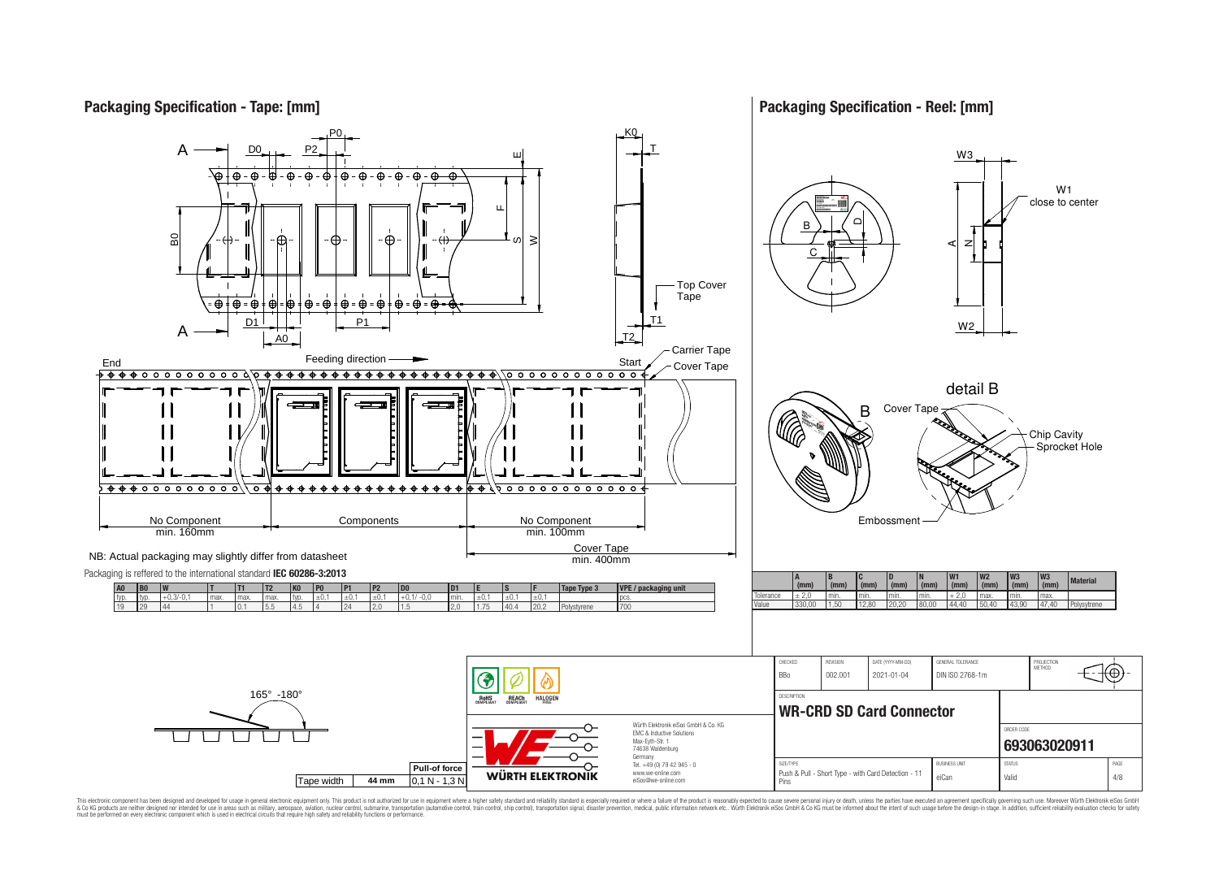

This electronic component has been designed and developed for usage in general electronic equipment only. This product is not authorized for use in equipment where a higher safely standard and reliability standard si espec & Ook product a label and the membed of the seasuch as marked and as which such a membed and the such assume that income in the seasuch and the simulation and the such assume that include to the such a membed and the such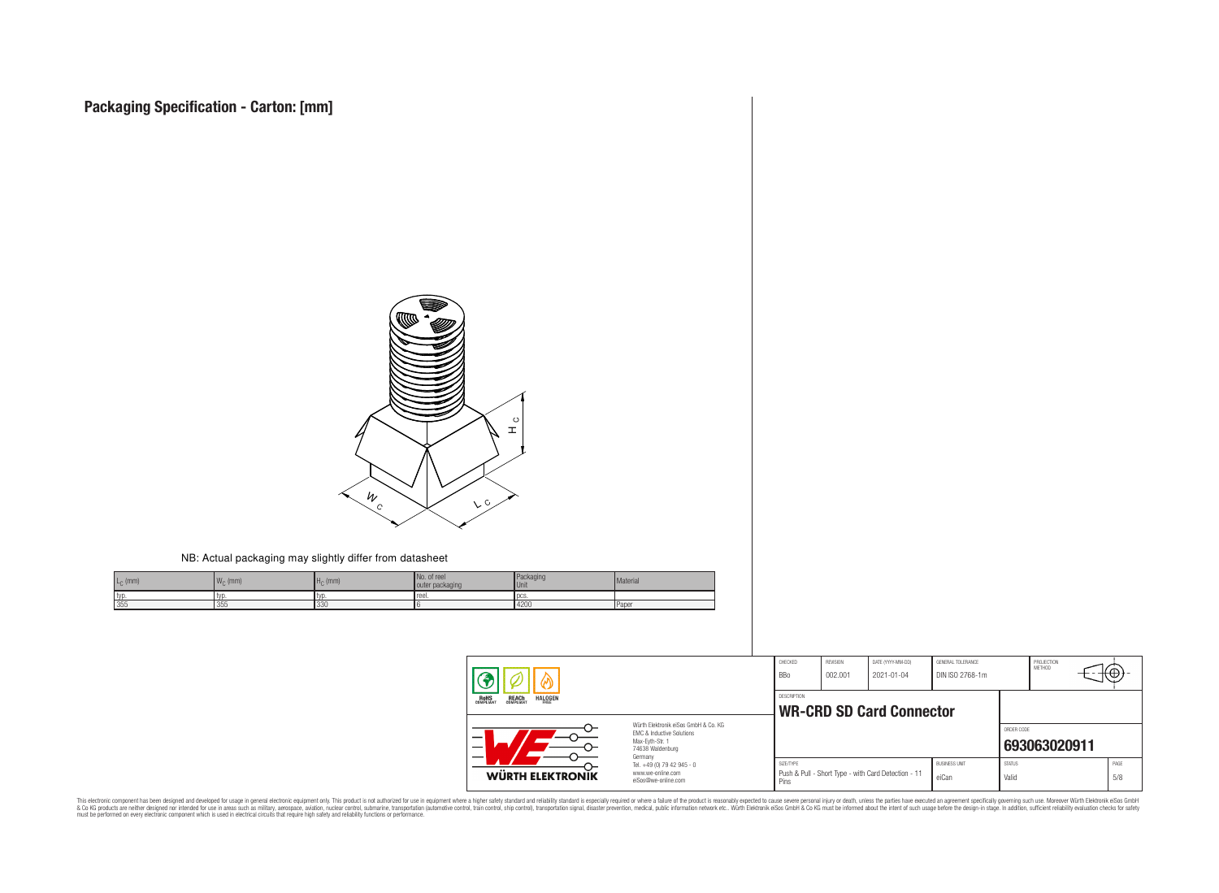

#### NB: Actual packaging may slightly differ from datasheet

| $L_{\odot}$ (mm) | $W_{\cap}$ (mm) | $Hc$ (mm) | No. of reel<br>outer packaging | <b>Packaging</b><br>Unit. | Material     |
|------------------|-----------------|-----------|--------------------------------|---------------------------|--------------|
| typ              | i lvl           | l TVI     | Tree.                          | - I UUJ                   |              |
| 355              | 355             | 330       |                                | 4200                      | <b>Paper</b> |

|                                                                  |                                                                                                                     | CHECKED<br>BBo                                        | REVISION<br>002.001 | DATE (YYYY-MM-DD)<br>2021-01-04                     | GENERAL TOLERANCE<br>DIN ISO 2768-1m |                        | PROJECTION<br>METHOD | .⊤⊕۰        |
|------------------------------------------------------------------|---------------------------------------------------------------------------------------------------------------------|-------------------------------------------------------|---------------------|-----------------------------------------------------|--------------------------------------|------------------------|----------------------|-------------|
| ROHS<br>COMPLIANT<br><b>REACH</b><br>COMPLIANT<br><b>HALOGEN</b> |                                                                                                                     | <b>DESCRIPTION</b><br><b>WR-CRD SD Card Connector</b> |                     |                                                     |                                      |                        |                      |             |
|                                                                  | Würth Elektronik eiSos GmbH & Co. KG<br>EMC & Inductive Solutions<br>Max-Eyth-Str. 1<br>74638 Waldenburg<br>Germany |                                                       |                     |                                                     |                                      | ORDER CODE             | 693063020911         |             |
| WÜRTH ELEKTRONIK                                                 | Tel. +49 (0) 79 42 945 - 0<br>www.we-online.com<br>eiSos@we-online.com                                              | SIZE/TYPE<br>Pins                                     |                     | Push & Pull - Short Type - with Card Detection - 11 | <b>BUSINESS UNIT</b><br>eiCan        | <b>STATUS</b><br>Valid |                      | PAGE<br>5/8 |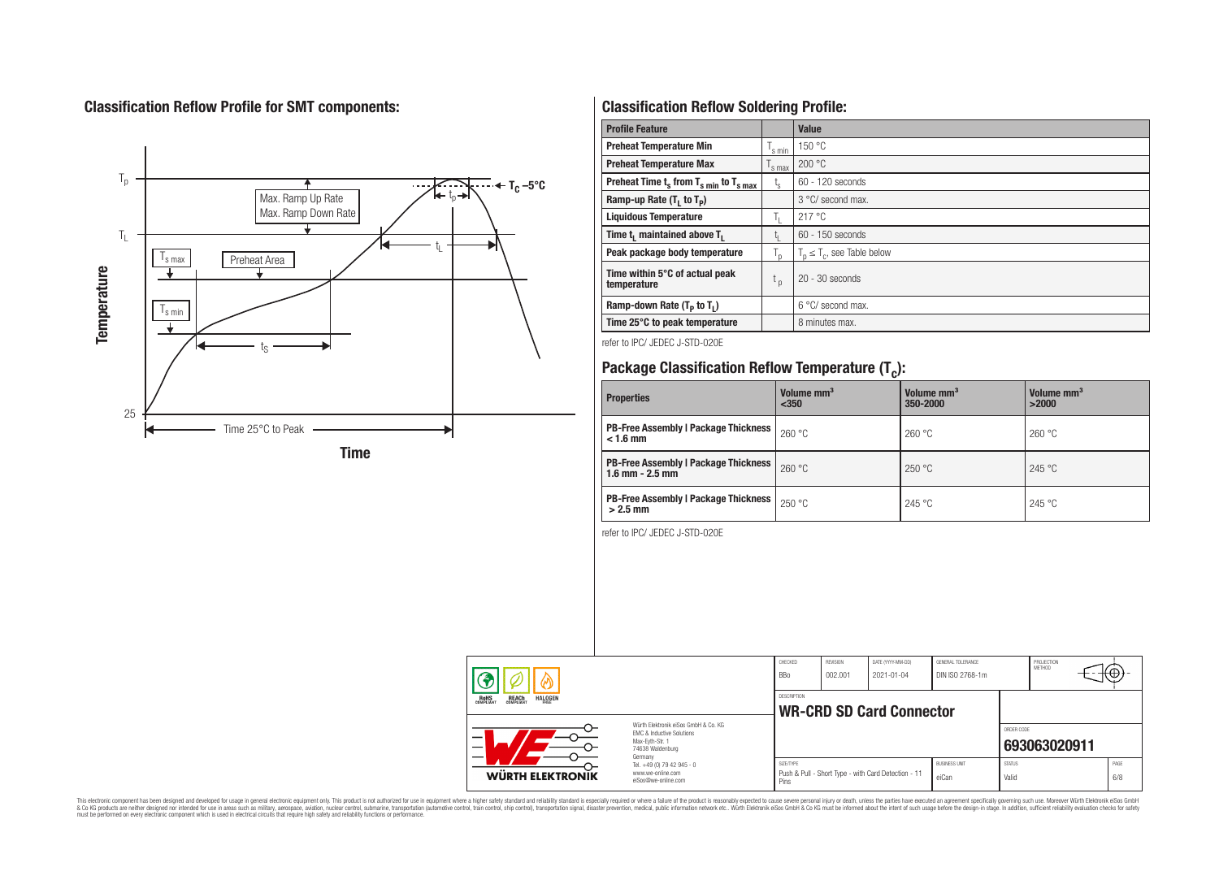# **Classification Reflow Profile for SMT components:**



# **Classification Reflow Soldering Profile:**

| <b>Profile Feature</b>                              |                    | <b>Value</b>                     |
|-----------------------------------------------------|--------------------|----------------------------------|
| <b>Preheat Temperature Min</b>                      | 's min             | 150 °C                           |
| <b>Preheat Temperature Max</b>                      | <sup>I</sup> s max | 200 °C                           |
| Preheat Time $t_s$ from $T_{s,min}$ to $T_{s,max}$  | $t_{s}$            | $60 - 120$ seconds               |
| Ramp-up Rate $(T_1$ to $T_p$ )                      |                    | 3 °C/ second max.                |
| <b>Liquidous Temperature</b>                        | Ъ.                 | 217 °C                           |
| Time t <sub>1</sub> maintained above T <sub>1</sub> | Ţ.                 | 60 - 150 seconds                 |
| Peak package body temperature                       | $T_{p}$            | $T_n \leq T_c$ , see Table below |
| Time within 5°C of actual peak<br>temperature       | $t_{p}$            | $20 - 30$ seconds                |
| Ramp-down Rate $(T_P$ to $T_I$ )                    |                    | $6^{\circ}$ C/ second max.       |
| Time 25°C to peak temperature                       |                    | 8 minutes max.                   |

refer to IPC/ JEDEC J-STD-020E

# **Package Classification Reflow Temperature (T<sup>c</sup> ):**

| <b>Properties</b>                                                    | Volume mm <sup>3</sup><br>$350$ | Volume mm <sup>3</sup><br>350-2000 | Volume mm <sup>3</sup><br>>2000 |
|----------------------------------------------------------------------|---------------------------------|------------------------------------|---------------------------------|
| <b>PB-Free Assembly   Package Thickness</b><br>$< 1.6$ mm            | 260 °C                          | 260 °C                             | 260 °C                          |
| <b>PB-Free Assembly   Package Thickness  </b><br>$1.6$ mm $- 2.5$ mm | 260 °C                          | 250 °C                             | 245 °C                          |
| <b>PB-Free Assembly   Package Thickness  </b><br>$>2.5$ mm           | 250 °C                          | 245 °C                             | 245 °C                          |

refer to IPC/ JEDEC J-STD-020E

|                                                                                                                          |                                                                                   | CHECKED<br><b>BBo</b> | <b>REVISION</b><br>002.001 | DATE (YYYY-MM-DD)<br>2021-01-04                     | GENERAL TOLERANCE<br>DIN ISO 2768-1m |                        | PROJECTION<br>METHOD |             |
|--------------------------------------------------------------------------------------------------------------------------|-----------------------------------------------------------------------------------|-----------------------|----------------------------|-----------------------------------------------------|--------------------------------------|------------------------|----------------------|-------------|
| <b>REACH</b><br>COMPLIANT<br><b>HALOGEN</b><br><b>ROHS</b><br>COMPLIANT                                                  |                                                                                   | DESCRIPTION           |                            | <b>WR-CRD SD Card Connector</b>                     |                                      |                        |                      |             |
| Würth Flektronik eiSos GmbH & Co. KG<br><b>EMC &amp; Inductive Solutions</b><br>–<br>Max-Eyth-Str. 1<br>74638 Waldenburg |                                                                                   |                       |                            |                                                     |                                      | ORDER CODE             | 693063020911         |             |
| WÜRTH ELEKTRONIK                                                                                                         | Germany<br>Tel. +49 (0) 79 42 945 - 0<br>www.we-online.com<br>eiSos@we-online.com | SIZE/TYPE<br>Pins     |                            | Push & Pull - Short Type - with Card Detection - 11 | <b>BUSINESS UNIT</b><br>eiCan        | <b>STATUS</b><br>Valid |                      | PAGE<br>6/8 |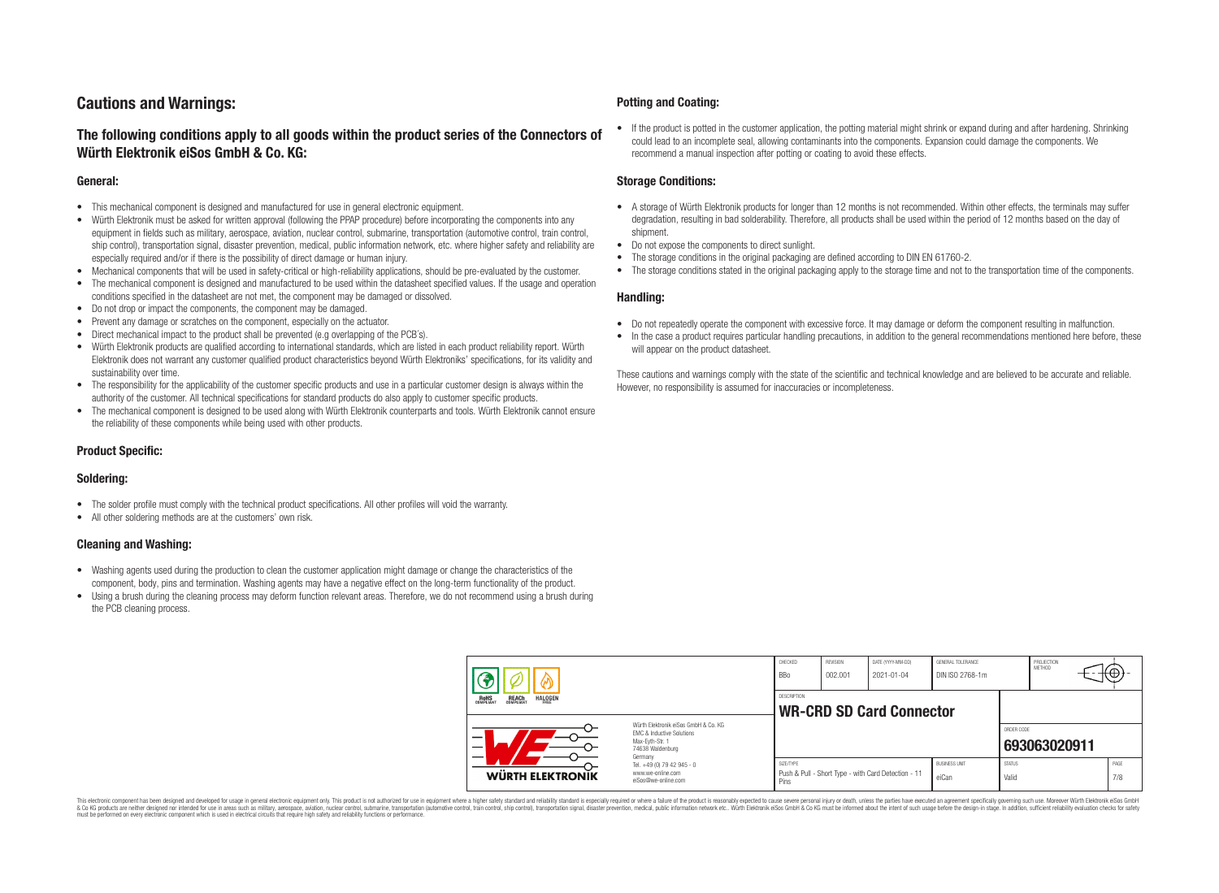# **Cautions and Warnings:**

## **The following conditions apply to all goods within the product series of the Connectors of Würth Elektronik eiSos GmbH & Co. KG:**

#### **General:**

- This mechanical component is designed and manufactured for use in general electronic equipment.
- Würth Elektronik must be asked for written approval (following the PPAP procedure) before incorporating the components into any equipment in fields such as military, aerospace, aviation, nuclear control, submarine, transportation (automotive control, train control, ship control), transportation signal, disaster prevention, medical, public information network, etc. where higher safety and reliability are especially required and/or if there is the possibility of direct damage or human injury.
- Mechanical components that will be used in safety-critical or high-reliability applications, should be pre-evaluated by the customer.
- The mechanical component is designed and manufactured to be used within the datasheet specified values. If the usage and operation conditions specified in the datasheet are not met, the component may be damaged or dissolved.
- Do not drop or impact the components, the component may be damaged.
- Prevent any damage or scratches on the component, especially on the actuator.
- Direct mechanical impact to the product shall be prevented (e.g overlapping of the PCB's).
- Würth Elektronik products are qualified according to international standards, which are listed in each product reliability report. Würth Elektronik does not warrant any customer qualified product characteristics beyond Würth Elektroniks' specifications, for its validity and sustainability over time.
- The responsibility for the applicability of the customer specific products and use in a particular customer design is always within the authority of the customer. All technical specifications for standard products do also apply to customer specific products.
- The mechanical component is designed to be used along with Würth Elektronik counterparts and tools. Würth Elektronik cannot ensure the reliability of these components while being used with other products.

#### **Product Specific:**

#### **Soldering:**

- The solder profile must comply with the technical product specifications. All other profiles will void the warranty.
- All other soldering methods are at the customers' own risk.

#### **Cleaning and Washing:**

- Washing agents used during the production to clean the customer application might damage or change the characteristics of the component, body, pins and termination. Washing agents may have a negative effect on the long-term functionality of the product.
- Using a brush during the cleaning process may deform function relevant areas. Therefore, we do not recommend using a brush during the PCB cleaning process.

#### **Potting and Coating:**

• If the product is potted in the customer application, the potting material might shrink or expand during and after hardening. Shrinking could lead to an incomplete seal, allowing contaminants into the components. Expansion could damage the components. We recommend a manual inspection after potting or coating to avoid these effects.

#### **Storage Conditions:**

- A storage of Würth Elektronik products for longer than 12 months is not recommended. Within other effects, the terminals may suffer degradation, resulting in bad solderability. Therefore, all products shall be used within the period of 12 months based on the day of shipment.
- Do not expose the components to direct sunlight.
- The storage conditions in the original packaging are defined according to DIN EN 61760-2.
- The storage conditions stated in the original packaging apply to the storage time and not to the transportation time of the components.

#### **Handling:**

- Do not repeatedly operate the component with excessive force. It may damage or deform the component resulting in malfunction.
- In the case a product requires particular handling precautions, in addition to the general recommendations mentioned here before, these will appear on the product datasheet.

These cautions and warnings comply with the state of the scientific and technical knowledge and are believed to be accurate and reliable. However, no responsibility is assumed for inaccuracies or incompleteness.

|                                                                                                                     |                                                                        | CHECKED<br><b>BBo</b>                                 | REVISION<br>002.001                                 | DATE (YYYY-MM-DD)<br>2021-01-04 | GENERAL TOLERANCE<br>DIN ISO 2768-1m |  | PROJECTION<br><b>METHOD</b> |             | ťΦ |
|---------------------------------------------------------------------------------------------------------------------|------------------------------------------------------------------------|-------------------------------------------------------|-----------------------------------------------------|---------------------------------|--------------------------------------|--|-----------------------------|-------------|----|
| <b>REACH</b><br>COMPLIANT<br><b>HALOGEN</b><br>ROHS<br>COMPLIANT                                                    |                                                                        | <b>DESCRIPTION</b><br><b>WR-CRD SD Card Connector</b> |                                                     |                                 |                                      |  |                             |             |    |
| Würth Elektronik eiSos GmbH & Co. KG<br>EMC & Inductive Solutions<br>Max-Eyth-Str. 1<br>74638 Waldenburg<br>Germany |                                                                        | ORDER CODE<br>693063020911                            |                                                     |                                 |                                      |  |                             |             |    |
| <b>WÜRTH ELEKTRONĪK</b>                                                                                             | Tel. +49 (0) 79 42 945 - 0<br>www.we-online.com<br>eiSos@we-online.com | SIZE/TYPE<br>Pins                                     | Push & Pull - Short Type - with Card Detection - 11 | <b>BUSINESS UNIT</b><br>eiCan   | <b>STATUS</b><br>Valid               |  |                             | PAGE<br>7/8 |    |

This electronic component has been designed and developed for usage in general electronic equipment only. This product is not authorized for use in equipment where a higher safety standard and reliability standard si espec & Ook product a label and the membed of the seasuch as marked and as which such a membed and the such assume that income in the seasuch and the simulation and the such assume that include to the such a membed and the such